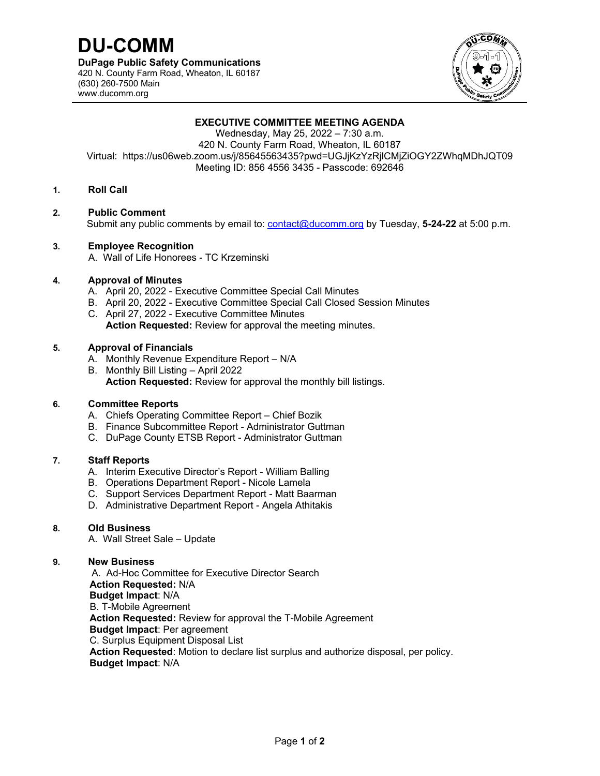

## **EXECUTIVE COMMITTEE MEETING AGENDA**

Wednesday, May 25, 2022 – 7:30 a.m. 420 N. County Farm Road, Wheaton, IL 60187 Virtual: https://us06web.zoom.us/j/85645563435?pwd=UGJjKzYzRjlCMjZiOGY2ZWhqMDhJQT09 Meeting ID: 856 4556 3435 - Passcode: 692646

### **1. Roll Call**

#### **2. Public Comment**

Submit any public comments by email to: contact@ducomm.org by Tuesday, **5-24-22** at 5:00 p.m.

#### **3. Employee Recognition**

A. Wall of Life Honorees - TC Krzeminski

#### **4. Approval of Minutes**

- A. April 20, 2022 Executive Committee Special Call Minutes
- B. April 20, 2022 Executive Committee Special Call Closed Session Minutes
- C. April 27, 2022 Executive Committee Minutes **Action Requested:** Review for approval the meeting minutes.

#### **5. Approval of Financials**

- A. Monthly Revenue Expenditure Report N/A
- B. Monthly Bill Listing April 2022 **Action Requested:** Review for approval the monthly bill listings.

#### **6. Committee Reports**

- A. Chiefs Operating Committee Report Chief Bozik
- B. Finance Subcommittee Report Administrator Guttman
- C. DuPage County ETSB Report Administrator Guttman

## **7. Staff Reports**

- A. Interim Executive Director's Report William Balling
- B. Operations Department Report Nicole Lamela
- C. Support Services Department Report Matt Baarman
- D. Administrative Department Report Angela Athitakis

## **8. Old Business**

A. Wall Street Sale – Update

#### **9. New Business**

A. Ad-Hoc Committee for Executive Director Search  **Action Requested:** N/A  **Budget Impact**: N/A B. T-Mobile Agreement  **Action Requested:** Review for approval the T-Mobile Agreement  **Budget Impact**: Per agreement C. Surplus Equipment Disposal List  **Action Requested**: Motion to declare list surplus and authorize disposal, per policy.  **Budget Impact**: N/A